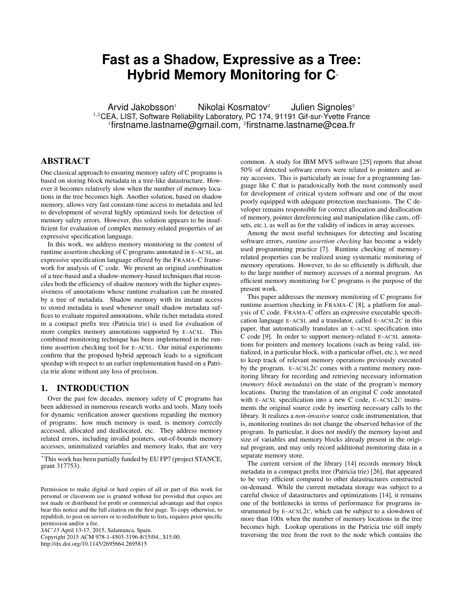# **Fast as a Shadow, Expressive as a Tree: Hybrid Memory Monitoring for C**<sup>∗</sup>

Arvid Jakobsson<sup>1</sup> Nikolai Kosmatov<sup>2</sup> Julien Signoles<sup>2</sup> <sup>1,2</sup>CEA, LIST, Software Reliability Laboratory, PC 174, 91191 Gif-sur-Yvette France <sup>1</sup>firstname.lastname@gmail.com, <sup>2</sup>firstname.lastname@cea.fr

# ABSTRACT

One classical approach to ensuring memory safety of C programs is based on storing block metadata in a tree-like datastructure. However it becomes relatively slow when the number of memory locations in the tree becomes high. Another solution, based on shadow memory, allows very fast constant-time access to metadata and led to development of several highly optimized tools for detection of memory safety errors. However, this solution appears to be insufficient for evaluation of complex memory-related properties of an expressive specification language.

In this work, we address memory monitoring in the context of runtime assertion checking of C programs annotated in E-ACSL, an expressive specification language offered by the FRAMA-C framework for analysis of C code. We present an original combination of a tree-based and a shadow-memory-based techniques that reconciles both the efficiency of shadow memory with the higher expressiveness of annotations whose runtime evaluation can be ensured by a tree of metadata. Shadow memory with its instant access to stored metadata is used whenever small shadow metadata suffices to evaluate required annotations, while richer metadata stored in a compact prefix tree (Patricia trie) is used for evaluation of more complex memory annotations supported by E-ACSL. This combined monitoring technique has been implemented in the runtime assertion checking tool for E-ACSL. Our initial experiments confirm that the proposed hybrid approach leads to a significant speedup with respect to an earlier implementation based on a Patricia trie alone without any loss of precision.

# 1. INTRODUCTION

Over the past few decades, memory safety of C programs has been addressed in numerous research works and tools. Many tools for dynamic verification answer questions regarding the memory of programs: how much memory is used, is memory correctly accessed, allocated and deallocated, etc. They address memory related errors, including invalid pointers, out-of-bounds memory accesses, uninitialized variables and memory leaks, that are very

*SAC'15* April 13-17, 2015, Salamanca, Spain.

common. A study for IBM MVS software [25] reports that about 50% of detected software errors were related to pointers and array accesses. This is particularly an issue for a programming language like C that is paradoxically both the most commonly used for development of critical system software and one of the most poorly equipped with adequate protection mechanisms. The C developer remains responsible for correct allocation and deallocation of memory, pointer dereferencing and manipulation (like casts, offsets, etc.), as well as for the validity of indices in array accesses.

Among the most useful techniques for detecting and locating software errors, *runtime assertion checking* has become a widely used programming practice [7]. Runtime checking of memoryrelated properties can be realized using systematic monitoring of memory operations. However, to do so efficiently is difficult, due to the large number of memory accesses of a normal program. An efficient memory monitoring for C programs is the purpose of the present work.

This paper addresses the memory monitoring of C programs for runtime assertion checking in FRAMA-C [8], a platform for analysis of C code. FRAMA-C offers an expressive executable specification language E-ACSL and a translator, called E-ACSL2C in this paper, that automatically translates an E-ACSL specification into C code [9]. In order to support memory-related E-ACSL annotations for pointers and memory locations (such as being valid, initialized, in a particular block, with a particular offset, etc.), we need to keep track of relevant memory operations previously executed by the program. E-ACSL2C comes with a runtime memory monitoring library for recording and retrieving necessary information (*memory block metadata*) on the state of the program's memory locations. During the translation of an original C code annotated with E-ACSL specification into a new C code, E-ACSL2C instruments the original source code by inserting necessary calls to the library. It realizes a *non-invasive* source code instrumentation, that is, monitoring routines do not change the observed behavior of the program. In particular, it does not modify the memory layout and size of variables and memory blocks already present in the original program, and may only record additional monitoring data in a separate memory store.

The current version of the library [14] records memory block metadata in a compact prefix tree (Patricia trie) [26], that appeared to be very efficient compared to other datastructures constructed on-demand. While the current metadata storage was subject to a careful choice of datastructures and optimizations [14], it remains one of the bottlenecks in terms of performance for programs instrumented by E-ACSL2C, which can be subject to a slowdown of more than 100x when the number of memory locations in the tree becomes high. Lookup operations in the Patricia trie still imply traversing the tree from the root to the node which contains the

<sup>∗</sup>This work has been partially funded by EU FP7 (project STANCE, grant 317753).

Permission to make digital or hard copies of all or part of this work for personal or classroom use is granted without fee provided that copies are not made or distributed for profit or commercial advantage and that copies bear this notice and the full citation on the first page. To copy otherwise, to republish, to post on servers or to redistribute to lists, requires prior specific permission and/or a fee.

Copyright 2015 ACM 978-1-4503-3196-8/15/04...\$15.00. http://dx.doi.org/10.1145/2695664.2695815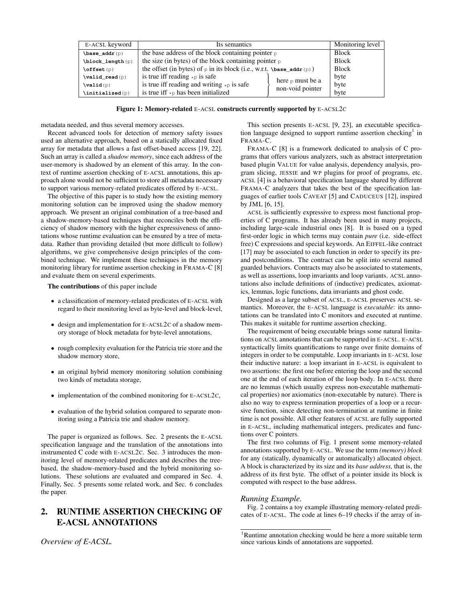| E-ACSL keyword         | Its semantics                                                              | Monitoring level             |      |
|------------------------|----------------------------------------------------------------------------|------------------------------|------|
| \base_addr(p)          | the base address of the block containing pointer $\beta$                   | <b>Block</b>                 |      |
| \block_length(p)       | the size (in bytes) of the block containing pointer $\beta$                | <b>Block</b>                 |      |
| <b>\offset</b> (p)     | the offset (in bytes) of $p$ in its block (i.e., w.r.t. \base_addr $(p)$ ) | <b>Block</b>                 |      |
| <b>\valid read</b> (p) | is true iff reading $_{\rm sp}$ is safe                                    | here $\frac{1}{2}$ must be a | byte |
| $\text{valid}(p)$      | is true iff reading and writing $_{\rm \ast p}$ is safe                    | non-void pointer             | byte |
| $\int_{p}$             | is true iff $_{\star}$ has been initialized                                |                              | byte |

Figure 1: Memory-related E-ACSL constructs currently supported by E-ACSL2C

metadata needed, and thus several memory accesses.

Recent advanced tools for detection of memory safety issues used an alternative approach, based on a statically allocated fixed array for metadata that allows a fast offset-based access [19, 22]. Such an array is called a *shadow memory*, since each address of the user-memory is shadowed by an element of this array. In the context of runtime assertion checking of E-ACSL annotations, this approach alone would not be sufficient to store all metadata necessary to support various memory-related predicates offered by E-ACSL.

The objective of this paper is to study how the existing memory monitoring solution can be improved using the shadow memory approach. We present an original combination of a tree-based and a shadow-memory-based techniques that reconciles both the efficiency of shadow memory with the higher expressiveness of annotations whose runtime evaluation can be ensured by a tree of metadata. Rather than providing detailed (but more difficult to follow) algorithms, we give comprehensive design principles of the combined technique. We implement these techniques in the memory monitoring library for runtime assertion checking in FRAMA-C [8] and evaluate them on several experiments.

The contributions of this paper include

- a classification of memory-related predicates of E-ACSL with regard to their monitoring level as byte-level and block-level,
- design and implementation for E-ACSL2C of a shadow memory storage of block metadata for byte-level annotations,
- rough complexity evaluation for the Patricia trie store and the shadow memory store,
- an original hybrid memory monitoring solution combining two kinds of metadata storage,
- implementation of the combined monitoring for E-ACSL2C,
- evaluation of the hybrid solution compared to separate monitoring using a Patricia trie and shadow memory.

The paper is organized as follows. Sec. 2 presents the E-ACSL specification language and the translation of the annotations into instrumented C code with E-ACSL2C. Sec. 3 introduces the monitoring level of memory-related predicates and describes the treebased, the shadow-memory-based and the hybrid monitoring solutions. These solutions are evaluated and compared in Sec. 4. Finally, Sec. 5 presents some related work, and Sec. 6 concludes the paper.

# 2. RUNTIME ASSERTION CHECKING OF E-ACSL ANNOTATIONS

This section presents E-ACSL [9, 23], an executable specification language designed to support runtime assertion checking<sup>1</sup> in FRAMA-C.

FRAMA-C [8] is a framework dedicated to analysis of C programs that offers various analyzers, such as abstract interpretation based plugin VALUE for value analysis, dependency analysis, program slicing, JESSIE and WP plugins for proof of programs, etc. ACSL [4] is a behavioral specification language shared by different FRAMA-C analyzers that takes the best of the specification languages of earlier tools CAVEAT [5] and CADUCEUS [12], inspired by JML [6, 15].

ACSL is sufficiently expressive to express most functional properties of C programs. It has already been used in many projects, including large-scale industrial ones [8]. It is based on a typed first-order logic in which terms may contain *pure* (i.e. side-effect free) C expressions and special keywords. An EIFFEL-like contract [17] may be associated to each function in order to specify its preand postconditions. The contract can be split into several named guarded behaviors. Contracts may also be associated to statements, as well as assertions, loop invariants and loop variants. ACSL annotations also include definitions of (inductive) predicates, axiomatics, lemmas, logic functions, data invariants and ghost code.

Designed as a large subset of ACSL, E-ACSL preserves ACSL semantics. Moreover, the E-ACSL language is *executable*: its annotations can be translated into C monitors and executed at runtime. This makes it suitable for runtime assertion checking.

The requirement of being executable brings some natural limitations on ACSL annotations that can be supported in E-ACSL. E-ACSL syntactically limits quantifications to range over finite domains of integers in order to be computable. Loop invariants in E-ACSL lose their inductive nature: a loop invariant in E-ACSL is equivalent to two assertions: the first one before entering the loop and the second one at the end of each iteration of the loop body. In E-ACSL there are no lemmas (which usually express non-executable mathematical properties) nor axiomatics (non-executable by nature). There is also no way to express termination properties of a loop or a recursive function, since detecting non-termination at runtime in finite time is not possible. All other features of ACSL are fully supported in E-ACSL, including mathematical integers, predicates and functions over C pointers.

The first two columns of Fig. 1 present some memory-related annotations supported by E-ACSL. We use the term *(memory) block* for any (statically, dynamically or automatically) allocated object. A block is characterized by its size and its *base address,* that is, the address of its first byte. The offset of a pointer inside its block is computed with respect to the base address.

#### *Running Example.*

Fig. 2 contains a toy example illustrating memory-related predicates of E-ACSL. The code at lines 6–19 checks if the array of in-

*Overview of E-ACSL.*

<sup>&</sup>lt;sup>1</sup>Runtime annotation checking would be here a more suitable term since various kinds of annotations are supported.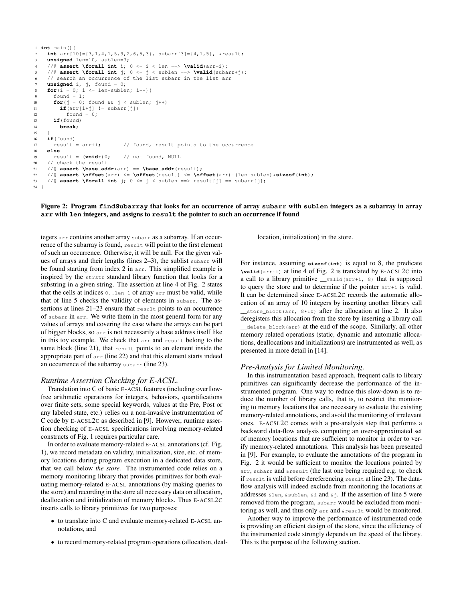```
1 int main(){
2 int arr[10]={3,1,4,1,5,9,2,6,5,3}, subarr[3]={4,1,5}, *result;
    unsigned len=10, sublen=3;
    //@ assert \forall int i; 0 \le i \le len ==> \lvalid(arri);//@ assert \forall int j; 0 \leq j \leq sublen ==> \valid(subarr+j);
    // search an occurrence of the list subarr in the list arr
    unsigned i, j, found = 0;
8 for(i = 0; i <= len-sublen; i++){
       found = 1;10 for(j = 0; found &i j < sublen; j++)<br>11 if(arr[i+i] != subarr[i])
         if(ar[i+j] := subarr[j])12 found = 0;13 if(found)
14 break;
15 }
16 if(found)<br>17 result = arr+i:
17 result = arr+i; // found, result points to the occurrence
18 else<br>19 result = (\text{void} \star) 0;19 result = (\text{void} \times) 0; // not found, NULL
20 // check the result
21 //@ assert \base_addr(arr) == \base_addr(result);
22 //@ assert \offset(arr) <= \offset(result) <= \offset(arr)+(len-sublen)*sizeof(int);
23 //\theta assert \forall int j; 0 \leq j \leq  sublen ==> result[j] == subarr[j];
24 }
```
#### Figure 2: Program **findSubarray** that looks for an occurrence of array **subarr** with **sublen** integers as a subarray in array **arr** with **len** integers, and assigns to **result** the pointer to such an occurrence if found

tegers arr contains another array subarr as a subarray. If an occurrence of the subarray is found, result will point to the first element of such an occurrence. Otherwise, it will be null. For the given values of arrays and their lengths (lines 2–3), the sublist subarr will be found starting from index 2 in arr. This simplified example is inspired by the strstr standard library function that looks for a substring in a given string. The assertion at line 4 of Fig. 2 states that the cells at indices  $0$ ...len-1 of array arr must be valid, while that of line 5 checks the validity of elements in subarr. The assertions at lines 21–23 ensure that result points to an occurrence of subarr in arr. We write them in the most general form for any values of arrays and covering the case where the arrays can be part of bigger blocks, so arr is not necessarily a base address itself like in this toy example. We check that arr and result belong to the same block (line 21), that result points to an element inside the appropriate part of arr (line 22) and that this element starts indeed an occurrence of the subarray subarr (line 23).

#### *Runtime Assertion Checking for E-ACSL.*

Translation into C of basic E-ACSL features (including overflowfree arithmetic operations for integers, behaviors, quantifications over finite sets, some special keywords, values at the Pre, Post or any labeled state, etc.) relies on a non-invasive instrumentation of C code by E-ACSL2C as described in [9]. However, runtime assertion checking of E-ACSL specifications involving memory-related constructs of Fig. 1 requires particular care.

In order to evaluate memory-related E-ACSL annotations (cf. Fig. 1), we record metadata on validity, initialization, size, etc. of memory locations during program execution in a dedicated data store, that we call below *the store.* The instrumented code relies on a memory monitoring library that provides primitives for both evaluating memory-related E-ACSL annotations (by making queries to the store) and recording in the store all necessary data on allocation, deallocation and initialization of memory blocks. Thus E-ACSL2C inserts calls to library primitives for two purposes:

- to translate into C and evaluate memory-related E-ACSL annotations, and
- to record memory-related program operations (allocation, deal-

location, initialization) in the store.

For instance, assuming **sizeof**(**int**) is equal to 8, the predicate **\valid**(arr+i) at line 4 of Fig. 2 is translated by E-ACSL2C into a call to a library primitive  $\sqrt{\frac{1}{2}}$  and  $\arctan 8$  that is supposed to query the store and to determine if the pointer arr+i is valid. It can be determined since E-ACSL2C records the automatic allocation of an array of 10 integers by inserting another library call \_\_store\_block(arr, 8\*10) after the allocation at line 2. It also deregisters this allocation from the store by inserting a library call \_\_delete\_block(arr) at the end of the scope. Similarly, all other memory related operations (static, dynamic and automatic allocations, deallocations and initializations) are instrumented as well, as presented in more detail in [14].

#### *Pre-Analysis for Limited Monitoring.*

In this instrumentation based approach, frequent calls to library primitives can significantly decrease the performance of the instrumented program. One way to reduce this slow-down is to reduce the number of library calls, that is, to restrict the monitoring to memory locations that are necessary to evaluate the existing memory-related annotations, and avoid the monitoring of irrelevant ones. E-ACSL2C comes with a pre-analysis step that performs a backward data-flow analysis computing an over-approximated set of memory locations that are sufficient to monitor in order to verify memory-related annotations. This analysis has been presented in [9]. For example, to evaluate the annotations of the program in Fig. 2 it would be sufficient to monitor the locations pointed by arr, subarr and &result (the last one being required e.g. to check if result is valid before dereferencing result at line 23). The dataflow analysis will indeed exclude from monitoring the locations at addresses  $\epsilon$ len,  $\epsilon$ sublen,  $\epsilon$ i and  $\epsilon$ j. If the assertion of line 5 were removed from the program, subarr would be excluded from monitoring as well, and thus only arr and &result would be monitored.

Another way to improve the performance of instrumented code is providing an efficient design of the store, since the efficiency of the instrumented code strongly depends on the speed of the library. This is the purpose of the following section.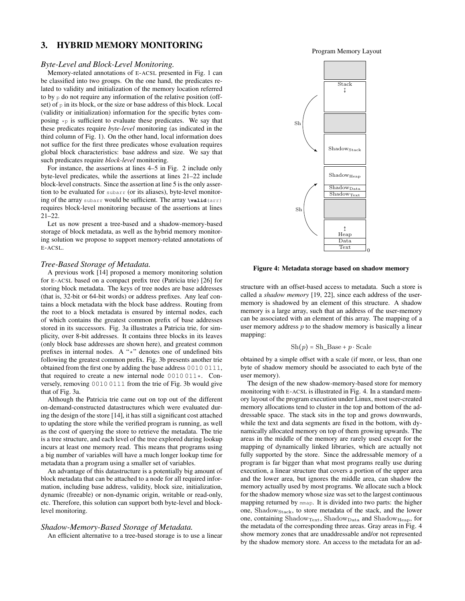# 3. HYBRID MEMORY MONITORING

#### *Byte-Level and Block-Level Monitoring.*

Memory-related annotations of E-ACSL presented in Fig. 1 can be classified into two groups. On the one hand, the predicates related to validity and initialization of the memory location referred to by  $\mathbb{P}$  do not require any information of the relative position (offset) of p in its block, or the size or base address of this block. Local (validity or initialization) information for the specific bytes composing  $_{\ast p}$  is sufficient to evaluate these predicates. We say that these predicates require *byte-level* monitoring (as indicated in the third column of Fig. 1). On the other hand, local information does not suffice for the first three predicates whose evaluation requires global block characteristics: base address and size. We say that such predicates require *block-level* monitoring.

For instance, the assertions at lines 4–5 in Fig. 2 include only byte-level predicates, while the assertions at lines 21–22 include block-level constructs. Since the assertion at line 5 is the only assertion to be evaluated for subarr (or its aliases), byte-level monitoring of the array subarr would be sufficient. The array **\valid**(arr) requires block-level monitoring because of the assertions at lines 21–22.

Let us now present a tree-based and a shadow-memory-based storage of block metadata, as well as the hybrid memory monitoring solution we propose to support memory-related annotations of E-ACSL.

#### *Tree-Based Storage of Metadata.*

A previous work [14] proposed a memory monitoring solution for E-ACSL based on a compact prefix tree (Patricia trie) [26] for storing block metadata. The keys of tree nodes are base addresses (that is, 32-bit or 64-bit words) or address prefixes. Any leaf contains a block metadata with the block base address. Routing from the root to a block metadata is ensured by internal nodes, each of which contains the greatest common prefix of base addresses stored in its successors. Fig. 3a illustrates a Patricia trie, for simplicity, over 8-bit addresses. It contains three blocks in its leaves (only block base addresses are shown here), and greatest common prefixes in internal nodes. A "\*" denotes one of undefined bits following the greatest common prefix. Fig. 3b presents another trie obtained from the first one by adding the base address 0010 0111, that required to create a new internal node  $0010011*$ . Conversely, removing 0010 0111 from the trie of Fig. 3b would give that of Fig. 3a.

Although the Patricia trie came out on top out of the different on-demand-constructed datastructures which were evaluated during the design of the store [14], it has still a significant cost attached to updating the store while the verified program is running, as well as the cost of querying the store to retrieve the metadata. The trie is a tree structure, and each level of the tree explored during lookup incurs at least one memory read. This means that programs using a big number of variables will have a much longer lookup time for metadata than a program using a smaller set of variables.

An advantage of this datastructure is a potentially big amount of block metadata that can be attached to a node for all required information, including base address, validity, block size, initialization, dynamic (freeable) or non-dynamic origin, writable or read-only, etc. Therefore, this solution can support both byte-level and blocklevel monitoring.

#### *Shadow-Memory-Based Storage of Metadata.*

An efficient alternative to a tree-based storage is to use a linear

Program Memory Layout



Figure 4: Metadata storage based on shadow memory

structure with an offset-based access to metadata. Such a store is called a *shadow memory* [19, 22], since each address of the usermemory is shadowed by an element of this structure. A shadow memory is a large array, such that an address of the user-memory can be associated with an element of this array. The mapping of a user memory address  $p$  to the shadow memory is basically a linear mapping:

#### $\text{Sh}(p) = \text{Sh\_Base} + p \cdot \text{Scale}$

obtained by a simple offset with a scale (if more, or less, than one byte of shadow memory should be associated to each byte of the user memory).

The design of the new shadow-memory-based store for memory monitoring with E-ACSL is illustrated in Fig. 4. In a standard memory layout of the program execution under Linux, most user-created memory allocations tend to cluster in the top and bottom of the addressable space. The stack sits in the top and grows downwards, while the text and data segments are fixed in the bottom, with dynamically allocated memory on top of them growing upwards. The areas in the middle of the memory are rarely used except for the mapping of dynamically linked libraries, which are actually not fully supported by the store. Since the addressable memory of a program is far bigger than what most programs really use during execution, a linear structure that covers a portion of the upper area and the lower area, but ignores the middle area, can shadow the memory actually used by most programs. We allocate such a block for the shadow memory whose size was set to the largest continuous mapping returned by mmap. It is divided into two parts: the higher one, Shadow<sub>Stack</sub>, to store metadata of the stack, and the lower one, containing Shadow<sub>Text</sub>, Shadow<sub>Data</sub> and Shadow<sub>Heap</sub>, for the metadata of the corresponding three areas. Gray areas in Fig. 4 show memory zones that are unaddressable and/or not represented by the shadow memory store. An access to the metadata for an ad-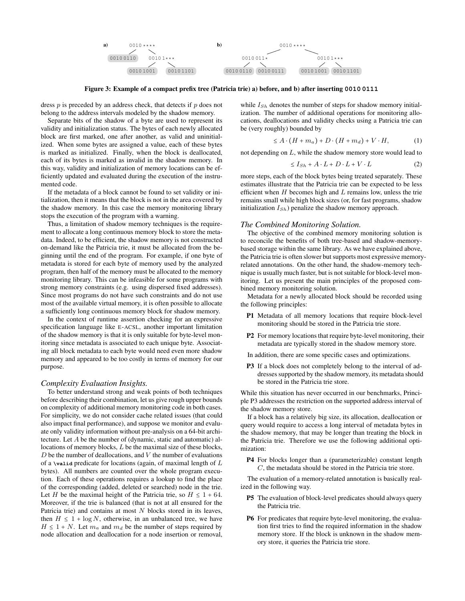

Figure 3: Example of a compact prefix tree (Patricia trie) a) before, and b) after inserting **0010 0111**

dress  $p$  is preceded by an address check, that detects if  $p$  does not belong to the address intervals modeled by the shadow memory.

Separate bits of the shadow of a byte are used to represent its validity and initialization status. The bytes of each newly allocated block are first marked, one after another, as valid and uninitialized. When some bytes are assigned a value, each of these bytes is marked as initialized. Finally, when the block is deallocated, each of its bytes is marked as invalid in the shadow memory. In this way, validity and initialization of memory locations can be efficiently updated and evaluated during the execution of the instrumented code.

If the metadata of a block cannot be found to set validity or initialization, then it means that the block is not in the area covered by the shadow memory. In this case the memory monitoring library stops the execution of the program with a warning.

Thus, a limitation of shadow memory techniques is the requirement to allocate a long continuous memory block to store the metadata. Indeed, to be efficient, the shadow memory is not constructed on-demand like the Patricia trie, it must be allocated from the beginning until the end of the program. For example, if one byte of metadata is stored for each byte of memory used by the analyzed program, then half of the memory must be allocated to the memory monitoring library. This can be infeasible for some programs with strong memory constraints (e.g. using dispersed fixed addresses). Since most programs do not have such constraints and do not use most of the available virtual memory, it is often possible to allocate a sufficiently long continuous memory block for shadow memory.

In the context of runtime assertion checking for an expressive specification language like E-ACSL, another important limitation of the shadow memory is that it is only suitable for byte-level monitoring since metadata is associated to each unique byte. Associating all block metadata to each byte would need even more shadow memory and appeared to be too costly in terms of memory for our purpose.

#### *Complexity Evaluation Insights.*

To better understand strong and weak points of both techniques before describing their combination, let us give rough upper bounds on complexity of additional memory monitoring code in both cases. For simplicity, we do not consider cache related issues (that could also impact final performance), and suppose we monitor and evaluate only validity information without pre-analysis on a 64-bit architecture. Let A be the number of (dynamic, static and automatic) allocations of memory blocks, L be the maximal size of these blocks,  $D$  be the number of deallocations, and  $V$  the number of evaluations of a **\valid** predicate for locations (again, of maximal length of L bytes). All numbers are counted over the whole program execution. Each of these operations requires a lookup to find the place of the corresponding (added, deleted or searched) node in the trie. Let H be the maximal height of the Patricia trie, so  $H \leq 1 + 64$ . Moreover, if the trie is balanced (that is not at all ensured for the Patricia trie) and contains at most  $N$  blocks stored in its leaves, then  $H \leq 1 + \log N$ , otherwise, in an unbalanced tree, we have  $H \leq 1 + N$ . Let  $m_a$  and  $m_d$  be the number of steps required by node allocation and deallocation for a node insertion or removal,

while  $I_{Sh}$  denotes the number of steps for shadow memory initialization. The number of additional operations for monitoring allocations, deallocations and validity checks using a Patricia trie can be (very roughly) bounded by

$$
\leq A \cdot (H + m_a) + D \cdot (H + m_d) + V \cdot H,\tag{1}
$$

not depending on L, while the shadow memory store would lead to

$$
\leq I_{Sh} + A \cdot L + D \cdot L + V \cdot L \tag{2}
$$

more steps, each of the block bytes being treated separately. These estimates illustrate that the Patricia trie can be expected to be less efficient when  $H$  becomes high and  $L$  remains low, unless the trie remains small while high block sizes (or, for fast programs, shadow initialization  $I_{Sh}$ ) penalize the shadow memory approach.

#### *The Combined Monitoring Solution.*

The objective of the combined memory monitoring solution is to reconcile the benefits of both tree-based and shadow-memorybased storage within the same library. As we have explained above, the Patricia trie is often slower but supports most expressive memoryrelated annotations. On the other hand, the shadow-memory technique is usually much faster, but is not suitable for block-level monitoring. Let us present the main principles of the proposed combined memory monitoring solution.

Metadata for a newly allocated block should be recorded using the following principles:

- P1 Metadata of all memory locations that require block-level monitoring should be stored in the Patricia trie store.
- P2 For memory locations that require byte-level monitoring, their metadata are typically stored in the shadow memory store.

In addition, there are some specific cases and optimizations.

P3 If a block does not completely belong to the interval of addresses supported by the shadow memory, its metadata should be stored in the Patricia trie store.

While this situation has never occurred in our benchmarks, Principle P3 addresses the restriction on the supported address interval of the shadow memory store.

If a block has a relatively big size, its allocation, deallocation or query would require to access a long interval of metadata bytes in the shadow memory, that may be longer than treating the block in the Patricia trie. Therefore we use the following additional optimization:

P4 For blocks longer than a (parameterizable) constant length C, the metadata should be stored in the Patricia trie store.

The evaluation of a memory-related annotation is basically realized in the following way.

- P5 The evaluation of block-level predicates should always query the Patricia trie.
- P6 For predicates that require byte-level monitoring, the evaluation first tries to find the required information in the shadow memory store. If the block is unknown in the shadow memory store, it queries the Patricia trie store.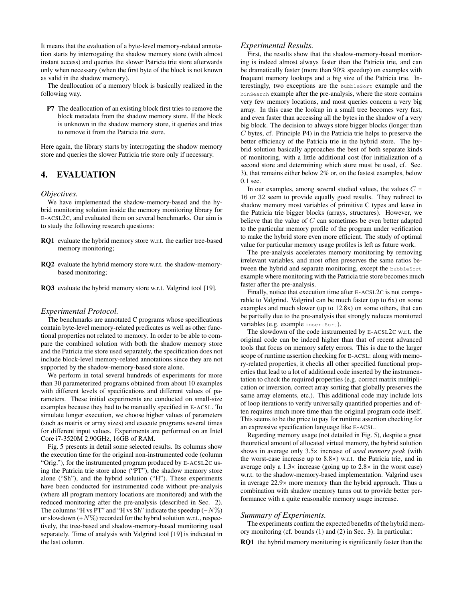It means that the evaluation of a byte-level memory-related annotation starts by interrogating the shadow memory store (with almost instant access) and queries the slower Patricia trie store afterwards only when necessary (when the first byte of the block is not known as valid in the shadow memory).

The deallocation of a memory block is basically realized in the following way.

P7 The deallocation of an existing block first tries to remove the block metadata from the shadow memory store. If the block is unknown in the shadow memory store, it queries and tries to remove it from the Patricia trie store.

Here again, the library starts by interrogating the shadow memory store and queries the slower Patricia trie store only if necessary.

# 4. EVALUATION

#### *Objectives.*

We have implemented the shadow-memory-based and the hybrid monitoring solution inside the memory monitoring library for E-ACSL2C, and evaluated them on several benchmarks. Our aim is to study the following research questions:

- RQ1 evaluate the hybrid memory store w.r.t. the earlier tree-based memory monitoring;
- RQ2 evaluate the hybrid memory store w.r.t. the shadow-memorybased monitoring;
- RQ3 evaluate the hybrid memory store w.r.t. Valgrind tool [19].

#### *Experimental Protocol.*

The benchmarks are annotated C programs whose specifications contain byte-level memory-related predicates as well as other functional properties not related to memory. In order to be able to compare the combined solution with both the shadow memory store and the Patricia trie store used separately, the specification does not include block-level memory-related annotations since they are not supported by the shadow-memory-based store alone.

We perform in total several hundreds of experiments for more than 30 parameterized programs obtained from about 10 examples with different levels of specifications and different values of parameters. These initial experiments are conducted on small-size examples because they had to be manually specified in E-ACSL. To simulate longer execution, we choose higher values of parameters (such as matrix or array sizes) and execute programs several times for different input values. Experiments are performed on an Intel Core i7-3520M 2.90GHz, 16GB of RAM.

Fig. 5 presents in detail some selected results. Its columns show the execution time for the original non-instrumented code (column "Orig."), for the instrumented program produced by E-ACSL2C using the Patricia trie store alone ("PT"), the shadow memory store alone ("Sh"), and the hybrid solution ("H"). These experiments have been conducted for instrumented code without pre-analysis (where all program memory locations are monitored) and with the reduced monitoring after the pre-analysis (described in Sec. 2). The columns "H vs PT" and "H vs Sh" indicate the speedup  $(-N\%)$ or slowdown  $(+N\%)$  recorded for the hybrid solution w.r.t., respectively, the tree-based and shadow-memory-based monitoring used separately. Time of analysis with Valgrind tool [19] is indicated in the last column.

## *Experimental Results.*

First, the results show that the shadow-memory-based monitoring is indeed almost always faster than the Patricia trie, and can be dramatically faster (more than 90% speedup) on examples with frequent memory lookups and a big size of the Patricia trie. Interestingly, two exceptions are the bubbleSort example and the binSearch example after the pre-analysis, where the store contains very few memory locations, and most queries concern a very big array. In this case the lookup in a small tree becomes very fast, and even faster than accessing all the bytes in the shadow of a very big block. The decision to always store bigger blocks (longer than C bytes, cf. Principle P4) in the Patricia trie helps to preserve the better efficiency of the Patricia trie in the hybrid store. The hybrid solution basically approaches the best of both separate kinds of monitoring, with a little additional cost (for initialization of a second store and determining which store must be used, cf. Sec. 3), that remains either below 2% or, on the fastest examples, below 0.1 sec.

In our examples, among several studied values, the values  $C =$ 16 or 32 seem to provide equally good results. They redirect to shadow memory most variables of primitive C types and leave in the Patricia trie bigger blocks (arrays, structures). However, we believe that the value of  $C$  can sometimes be even better adapted to the particular memory profile of the program under verification to make the hybrid store even more efficient. The study of optimal value for particular memory usage profiles is left as future work.

The pre-analysis accelerates memory monitoring by removing irrelevant variables, and most often preserves the same ratios between the hybrid and separate monitoring, except the bubbleSort example where monitoring with the Patricia trie store becomes much faster after the pre-analysis.

Finally, notice that execution time after E-ACSL2C is not comparable to Valgrind. Valgrind can be much faster (up to 6x) on some examples and much slower (up to 12.8x) on some others, that can be partially due to the pre-analysis that strongly reduces monitored variables (e.g. example insertSort).

The slowdown of the code instrumented by E-ACSL2C w.r.t. the original code can be indeed higher than that of recent advanced tools that focus on memory safety errors. This is due to the larger scope of runtime assertion checking for E-ACSL: along with memory-related properties, it checks all other specified functional properties that lead to a lot of additional code inserted by the instrumentation to check the required properties (e.g. correct matrix multiplication or inversion, correct array sorting that globally preserves the same array elements, etc.). This additional code may include lots of loop iterations to verify universally quantified properties and often requires much more time than the original program code itself. This seems to be the price to pay for runtime assertion checking for an expressive specification language like E-ACSL.

Regarding memory usage (not detailed in Fig. 5), despite a great theoretical amount of allocated virtual memory, the hybrid solution shows in average only 3.5× increase of *used memory peak* (with the worst-case increase up to 8.8×) w.r.t. the Patricia trie, and in average only a  $1.3 \times$  increase (going up to  $2.8 \times$  in the worst case) w.r.t. to the shadow-memory-based implementation. Valgrind uses in average  $22.9\times$  more memory than the hybrid approach. Thus a combination with shadow memory turns out to provide better performance with a quite reasonable memory usage increase.

#### *Summary of Experiments.*

The experiments confirm the expected benefits of the hybrid memory monitoring (cf. bounds (1) and (2) in Sec. 3). In particular: RQ1 the hybrid memory monitoring is significantly faster than the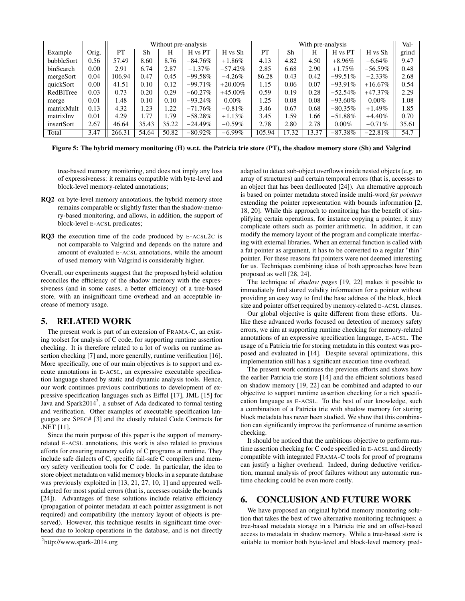|            |       | Without pre-analysis |       |       |            | With pre-analysis |        |       |       | Val-       |            |       |
|------------|-------|----------------------|-------|-------|------------|-------------------|--------|-------|-------|------------|------------|-------|
| Example    | Orig. | PT                   | Sh    | Н     | H vs PT    | H vs Sh           | PT     | Sh    | Н     | H vs PT    | H vs Sh    | grind |
| bubbleSort | 0.56  | 57.49                | 8.60  | 8.76  | $-84.76\%$ | $+1.86\%$         | 4.13   | 4.82  | 4.50  | $+8.96\%$  | $-6.64\%$  | 9.47  |
| binSearch  | 0.00  | 2.91                 | 6.74  | 2.87  | $-1.37\%$  | $-57.42%$         | 2.85   | 6.68  | 2.90  | $+1.75\%$  | $-56.59\%$ | 0.48  |
| mergeSort  | 0.04  | 106.94               | 0.47  | 0.45  | $-99.58\%$ | $-4.26\%$         | 86.28  | 0.43  | 0.42  | $-99.51\%$ | $-2.33\%$  | 2.68  |
| quickSort  | 0.00  | 41.51                | 0.10  | 0.12  | $-99.71\%$ | $+20.00\%$        | 1.15   | 0.06  | 0.07  | $-93.91\%$ | $+16.67\%$ | 0.54  |
| RedBITree  | 0.03  | 0.73                 | 0.20  | 0.29  | $-60.27\%$ | $+45.00\%$        | 0.59   | 0.19  | 0.28  | $-52.54\%$ | $+47.37\%$ | 2.29  |
| merge      | 0.01  | l.48                 | 0.10  | 0.10  | $-93.24\%$ | $0.00\%$          | 1.25   | 0.08  | 0.08  | $-93.60\%$ | $0.00\%$   | 1.08  |
| matrixMult | 0.13  | 4.32                 | 1.23  | 1.22  | $-71.76\%$ | $-0.81\%$         | 3.46   | 0.67  | 0.68  | $-80.35\%$ | $+1.49\%$  | 1.85  |
| matrixInv  | 0.01  | 4.29                 | l.77  | 1.79  | $-58.28\%$ | $+1.13\%$         | 3.45   | 1.59  | 1.66  | $-51.88\%$ | $+4.40%$   | 0.70  |
| insertSort | 2.67  | 46.64                | 35.43 | 35.22 | $-24.49\%$ | $-0.59\%$         | 2.78   | 2.80  | 2.78  | $0.00\%$   | $-0.71\%$  | 35.61 |
| Total      | 3.47  | 266.31               | 54.64 | 50.82 | $-80.92\%$ | $-6.99\%$         | 105.94 | 17.32 | 13.37 | $-87.38\%$ | $-22.81\%$ | 54.7  |

Figure 5: The hybrid memory monitoring (H) w.r.t. the Patricia trie store (PT), the shadow memory store (Sh) and Valgrind

tree-based memory monitoring, and does not imply any loss of expressiveness: it remains compatible with byte-level and block-level memory-related annotations;

- RQ2 on byte-level memory annotations, the hybrid memory store remains comparable or slightly faster than the shadow-memory-based monitoring, and allows, in addition, the support of block-level E-ACSL predicates;
- RQ3 the execution time of the code produced by E-ACSL2C is not comparable to Valgrind and depends on the nature and amount of evaluated E-ACSL annotations, while the amount of used memory with Valgrind is considerably higher.

Overall, our experiments suggest that the proposed hybrid solution reconciles the efficiency of the shadow memory with the expressiveness (and in some cases, a better efficiency) of a tree-based store, with an insignificant time overhead and an acceptable increase of memory usage.

# 5. RELATED WORK

The present work is part of an extension of FRAMA-C, an existing toolset for analysis of C code, for supporting runtime assertion checking. It is therefore related to a lot of works on runtime assertion checking [7] and, more generally, runtime verification [16]. More specifically, one of our main objectives is to support and execute annotations in E-ACSL, an expressive executable specification language shared by static and dynamic analysis tools. Hence, our work continues previous contributions to development of expressive specification languages such as Eiffel [17], JML [15] for Java and Spark2014<sup>2</sup>, a subset of Ada dedicated to formal testing and verification. Other examples of executable specification languages are SPEC# [3] and the closely related Code Contracts for .NET [11].

Since the main purpose of this paper is the support of memoryrelated E-ACSL annotations, this work is also related to previous efforts for ensuring memory safety of C programs at runtime. They include safe dialects of C, specific fail-safe C compilers and memory safety verification tools for C code. In particular, the idea to store object metadata on valid memory blocks in a separate database was previously exploited in [13, 21, 27, 10, 1] and appeared welladapted for most spatial errors (that is, accesses outside the bounds [24]). Advantages of these solutions include relative efficiency (propagation of pointer metadata at each pointer assignment is not required) and compatibility (the memory layout of objects is preserved). However, this technique results in significant time overhead due to lookup operations in the database, and is not directly

adapted to detect sub-object overflows inside nested objects (e.g. an array of structures) and certain temporal errors (that is, accesses to an object that has been deallocated [24]). An alternative approach is based on pointer metadata stored inside multi-word *fat pointers* extending the pointer representation with bounds information [2, 18, 20]. While this approach to monitoring has the benefit of simplifying certain operations, for instance copying a pointer, it may complicate others such as pointer arithmetic. In addition, it can modify the memory layout of the program and complicate interfacing with external libraries. When an external function is called with a fat pointer as argument, it has to be converted to a regular "thin" pointer. For these reasons fat pointers were not deemed interesting for us. Techniques combining ideas of both approaches have been proposed as well [28, 24].

The technique of *shadow pages* [19, 22] makes it possible to immediately find stored validity information for a pointer without providing an easy way to find the base address of the block, block size and pointer offset required by memory-related E-ACSL clauses.

Our global objective is quite different from these efforts. Unlike these advanced works focused on detection of memory safety errors, we aim at supporting runtime checking for memory-related annotations of an expressive specification language, E-ACSL. The usage of a Patricia trie for storing metadata in this context was proposed and evaluated in [14]. Despite several optimizations, this implementation still has a significant execution time overhead.

The present work continues the previous efforts and shows how the earlier Patricia trie store [14] and the efficient solutions based on shadow memory [19, 22] can be combined and adapted to our objective to support runtime assertion checking for a rich specification language as E-ACSL. To the best of our knowledge, such a combination of a Patricia trie with shadow memory for storing block metadata has never been studied. We show that this combination can significantly improve the performance of runtime assertion checking.

It should be noticed that the ambitious objective to perform runtime assertion checking for C code specified in E-ACSL and directly compatible with integrated FRAMA-C tools for proof of programs can justify a higher overhead. Indeed, during deductive verification, manual analysis of proof failures without any automatic runtime checking could be even more costly.

## 6. CONCLUSION AND FUTURE WORK

We have proposed an original hybrid memory monitoring solution that takes the best of two alternative monitoring techniques: a tree-based metadata storage in a Patricia trie and an offset-based access to metadata in shadow memory. While a tree-based store is suitable to monitor both byte-level and block-level memory pred-

<sup>&</sup>lt;sup>2</sup>http://www.spark-2014.org